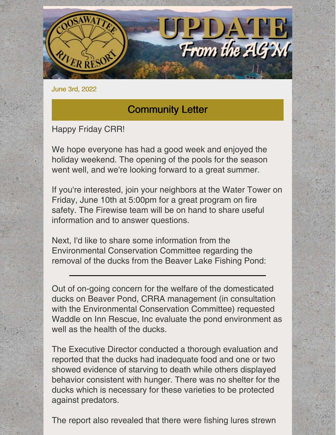

June 3rd, 2022

## Community Letter

Happy Friday CRR!

We hope everyone has had a good week and enjoyed the holiday weekend. The opening of the pools for the season went well, and we're looking forward to a great summer.

If you're interested, join your neighbors at the Water Tower on Friday, June 10th at 5:00pm for a great program on fire safety. The Firewise team will be on hand to share useful information and to answer questions.

Next, I'd like to share some information from the Environmental Conservation Committee regarding the removal of the ducks from the Beaver Lake Fishing Pond:

Out of on-going concern for the welfare of the domesticated ducks on Beaver Pond, CRRA management (in consultation with the Environmental Conservation Committee) requested Waddle on Inn Rescue, Inc evaluate the pond environment as well as the health of the ducks.

The Executive Director conducted a thorough evaluation and reported that the ducks had inadequate food and one or two showed evidence of starving to death while others displayed behavior consistent with hunger. There was no shelter for the ducks which is necessary for these varieties to be protected against predators.

The report also revealed that there were fishing lures strewn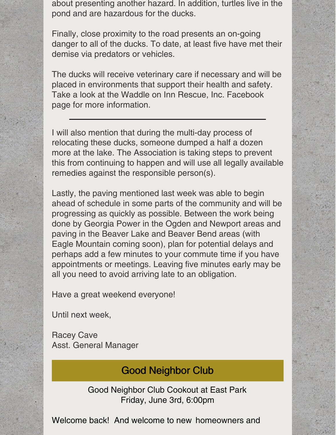about presenting another hazard. In addition, turtles live in the pond and are hazardous for the ducks.

Finally, close proximity to the road presents an on-going danger to all of the ducks. To date, at least five have met their demise via predators or vehicles.

The ducks will receive veterinary care if necessary and will be placed in environments that support their health and safety. Take a look at the Waddle on Inn Rescue, Inc. Facebook page for more information.

I will also mention that during the multi-day process of relocating these ducks, someone dumped a half a dozen more at the lake. The Association is taking steps to prevent this from continuing to happen and will use all legally available remedies against the responsible person(s).

Lastly, the paving mentioned last week was able to begin ahead of schedule in some parts of the community and will be progressing as quickly as possible. Between the work being done by Georgia Power in the Ogden and Newport areas and paving in the Beaver Lake and Beaver Bend areas (with Eagle Mountain coming soon), plan for potential delays and perhaps add a few minutes to your commute time if you have appointments or meetings. Leaving five minutes early may be all you need to avoid arriving late to an obligation.

Have a great weekend everyone!

Until next week,

Racey Cave Asst. General Manager

## Good Neighbor Club

Good Neighbor Club Cookout at East Park Friday, June 3rd, 6:00pm

Welcome back! And welcome to new homeowners and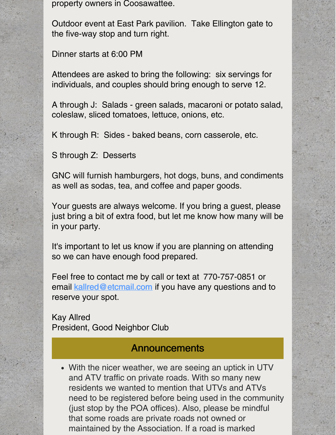property owners in Coosawattee.

Outdoor event at East Park pavilion. Take Ellington gate to the five-way stop and turn right.

Dinner starts at 6:00 PM

Attendees are asked to bring the following: six servings for individuals, and couples should bring enough to serve 12.

A through J: Salads - green salads, macaroni or potato salad, coleslaw, sliced tomatoes, lettuce, onions, etc.

K through R: Sides - baked beans, corn casserole, etc.

S through Z: Desserts

GNC will furnish hamburgers, hot dogs, buns, and condiments as well as sodas, tea, and coffee and paper goods.

Your guests are always welcome. If you bring a guest, please just bring a bit of extra food, but let me know how many will be in your party.

It's important to let us know if you are planning on attending so we can have enough food prepared.

Feel free to contact me by call or text at 770-757-0851 or email [kallred@etcmail.com](mailto:kallred@etcmail.com) if you have any questions and to reserve your spot.

Kay Allred President, Good Neighbor Club

#### **Announcements**

With the nicer weather, we are seeing an uptick in UTV and ATV traffic on private roads. With so many new residents we wanted to mention that UTVs and ATVs need to be registered before being used in the community (just stop by the POA offices). Also, please be mindful that some roads are private roads not owned or maintained by the Association. If a road is marked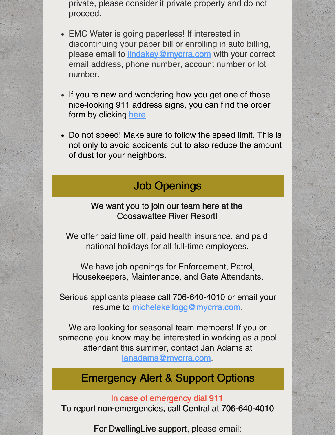private, please consider it private property and do not proceed.

- EMC Water is going paperless! If interested in discontinuing your paper bill or enrolling in auto billing, please email to **[lindakey@mycrra.com](mailto:lindakey@mycrra.com)** with your correct email address, phone number, account number or lot number.
- If you're new and wondering how you get one of those nice-looking 911 address signs, you can find the order form by clicking [here](https://www.mycrra.com/information).
- Do not speed! Make sure to follow the speed limit. This is not only to avoid accidents but to also reduce the amount of dust for your neighbors.

# Job Openings

#### We want you to join our team here at the Coosawattee River Resort!

We offer paid time off, paid health insurance, and paid national holidays for all full-time employees.

We have job openings for Enforcement, Patrol, Housekeepers, Maintenance, and Gate Attendants.

Serious applicants please call 706-640-4010 or email your resume to [michelekellogg@mycrra.com](mailto:michelekellogg@mycrra.com).

We are looking for seasonal team members! If you or someone you know may be interested in working as a pool attendant this summer, contact Jan Adams at [janadams@mycrra.com](mailto:janadams@mycrra.com).

# Emergency Alert & Support Options

#### In case of emergency dial 911 To report non-emergencies, call Central at 706-640-4010

For DwellingLive support, please email: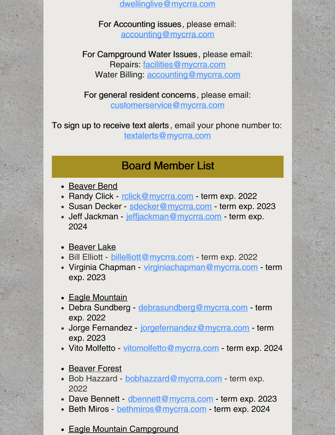[dwellinglive@mycrra.com](mailto:dwellinglive@mycrra.com)

For Accounting issues, please email: [accounting@mycrra.com](mailto:accounting@myccra.com)

For Campground Water Issues, please email: Repairs: [facilities@mycrra.com](mailto:facilities@mycrra.com) Water Billing: **[accounting@mycrra.com](mailto:accounting@mycrra.com)** 

For general resident concerns, please email: [customerservice@mycrra.com](mailto:customerservice@mycrra.com)

To sign up to receive text alerts , email your phone number to: [textalerts@mycrra.com](http://textalerts@mycrra.com)

### Board Member List

- Beaver Bend
- Randy Click [rclick@mycrra.com](mailto:rclick@mycrra.com) term exp. 2022
- Susan Decker [sdecker@mycrra.com](mailto:sdecker@mycrra.com) term exp. 2023
- Jeff Jackman [jeffjackman@mycrra.com](mailto:jeffjackman@mycrra.com) term exp. 2024
- Beaver Lake
- Bill Elliott [billelliott@mycrra.com](mailto:billelliott@mycrra.com) term exp. 2022
- Virginia Chapman [virginiachapman@mycrra.com](mailto:virginiachapman@mycrra.com) term exp. 2023
- Eagle Mountain
- Debra Sundberg debrasundberg@mycrra.com term exp. 2022
- Jorge Fernandez [jorgefernandez@mycrra.com](mailto:jorgefernandez@mycrra.com) term exp. 2023
- Vito Molfetto [vitomolfetto@mycrra.com](mailto:vitomolfetto@mycrra.com) term exp. 2024
- Beaver Forest
- Bob Hazzard [bobhazzard@mycrra.com](mailto:bobhazzard@mycrra.com) term exp. 2022
- Dave Bennett [dbennett@mycrra.com](mailto:dbennett@mycrra.com) term exp. 2023
- Beth Miros [bethmiros@mycrra.com](mailto:bethmiros@mycrra.com) term exp. 2024
- Eagle Mountain Campground